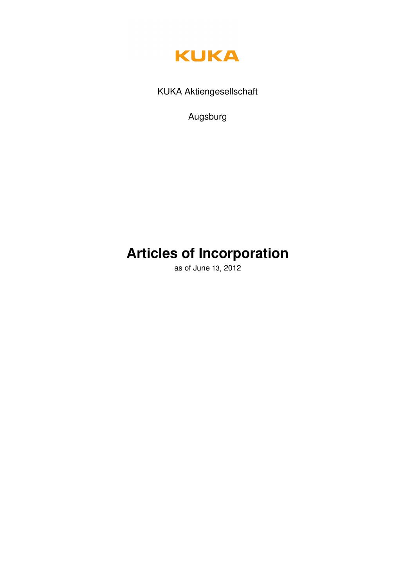

KUKA Aktiengesellschaft

Augsburg

# **Articles of Incorporation**

as of June 13, 2012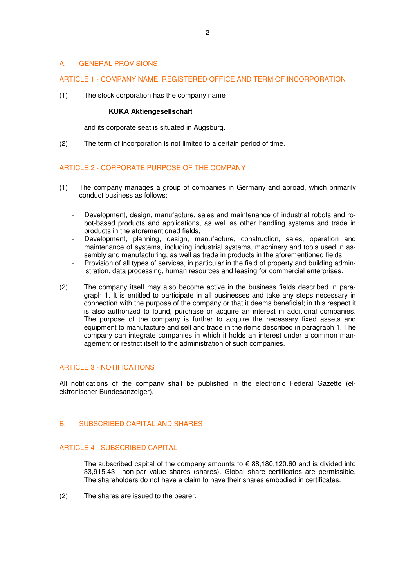# A. GENERAL PROVISIONS

# ARTICLE 1 - COMPANY NAME, REGISTERED OFFICE AND TERM OF INCORPORATION

(1) The stock corporation has the company name

#### **KUKA Aktiengesellschaft**

and its corporate seat is situated in Augsburg.

(2) The term of incorporation is not limited to a certain period of time.

# ARTICLE 2 - CORPORATE PURPOSE OF THE COMPANY

- (1) The company manages a group of companies in Germany and abroad, which primarily conduct business as follows:
	- Development, design, manufacture, sales and maintenance of industrial robots and robot-based products and applications, as well as other handling systems and trade in products in the aforementioned fields,
	- Development, planning, design, manufacture, construction, sales, operation and maintenance of systems, including industrial systems, machinery and tools used in assembly and manufacturing, as well as trade in products in the aforementioned fields,
	- Provision of all types of services, in particular in the field of property and building administration, data processing, human resources and leasing for commercial enterprises.
- (2) The company itself may also become active in the business fields described in paragraph 1. It is entitled to participate in all businesses and take any steps necessary in connection with the purpose of the company or that it deems beneficial; in this respect it is also authorized to found, purchase or acquire an interest in additional companies. The purpose of the company is further to acquire the necessary fixed assets and equipment to manufacture and sell and trade in the items described in paragraph 1. The company can integrate companies in which it holds an interest under a common management or restrict itself to the administration of such companies.

# ARTICLE 3 - NOTIFICATIONS

All notifications of the company shall be published in the electronic Federal Gazette (elektronischer Bundesanzeiger).

# B. SUBSCRIBED CAPITAL AND SHARES

# ARTICLE 4 - SUBSCRIBED CAPITAL

The subscribed capital of the company amounts to  $\epsilon$  88,180,120.60 and is divided into 33,915,431 non-par value shares (shares). Global share certificates are permissible. The shareholders do not have a claim to have their shares embodied in certificates.

(2) The shares are issued to the bearer.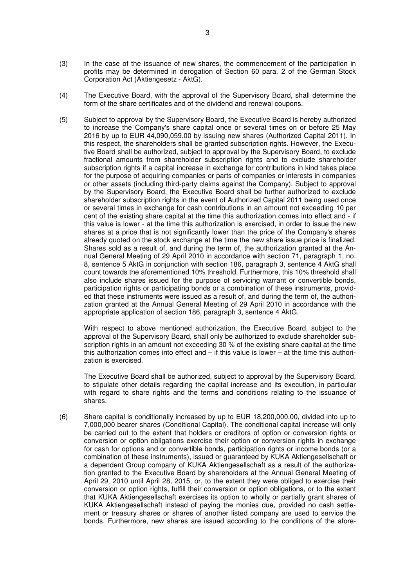- (3) In the case of the issuance of new shares, the commencement of the participation in profits may be determined in derogation of Section 60 para. 2 of the German Stock Corporation Act (Aktiengesetz - AktG).
- (4) The Executive Board, with the approval of the Supervisory Board, shall determine the form of the share certificates and of the dividend and renewal coupons.
- (5) Subject to approval by the Supervisory Board, the Executive Board is hereby authorized to increase the Company's share capital once or several times on or before 25 May 2016 by up to EUR 44,090,059.00 by issuing new shares (Authorized Capital 2011). In this respect, the shareholders shall be granted subscription rights. However, the Executive Board shall be authorized, subject to approval by the Supervisory Board, to exclude fractional amounts from shareholder subscription rights and to exclude shareholder subscription rights if a capital increase in exchange for contributions in kind takes place for the purpose of acquiring companies or parts of companies or interests in companies or other assets (including third-party claims against the Company). Subject to approval by the Supervisory Board, the Executive Board shall be further authorized to exclude shareholder subscription rights in the event of Authorized Capital 2011 being used once or several times in exchange for cash contributions in an amount not exceeding 10 per cent of the existing share capital at the time this authorization comes into effect and - if this value is lower - at the time this authorization is exercised, in order to issue the new shares at a price that is not significantly lower than the price of the Company's shares already quoted on the stock exchange at the time the new share issue price is finalized. Shares sold as a result of, and during the term of, the authorization granted at the Annual General Meeting of 29 April 2010 in accordance with section 71, paragraph 1, no. 8, sentence 5 AktG in conjunction with section 186, paragraph 3, sentence 4 AktG shall count towards the aforementioned 10% threshold. Furthermore, this 10% threshold shall also include shares issued for the purpose of servicing warrant or convertible bonds, participation rights or participating bonds or a combination of these instruments, provided that these instruments were issued as a result of, and during the term of, the authorization granted at the Annual General Meeting of 29 April 2010 in accordance with the appropriate application of section 186, paragraph 3, sentence 4 AktG.

 With respect to above mentioned authorization, the Executive Board, subject to the approval of the Supervisory Board, shall only be authorized to exclude shareholder subscription rights in an amount not exceeding 30 % of the existing share capital at the time this authorization comes into effect and  $-$  if this value is lower  $-$  at the time this authorization is exercised.

The Executive Board shall be authorized, subject to approval by the Supervisory Board, to stipulate other details regarding the capital increase and its execution, in particular with regard to share rights and the terms and conditions relating to the issuance of shares.

(6) Share capital is conditionally increased by up to EUR 18,200,000.00, divided into up to 7,000,000 bearer shares (Conditional Capital). The conditional capital increase will only be carried out to the extent that holders or creditors of option or conversion rights or conversion or option obligations exercise their option or conversion rights in exchange for cash for options and or convertible bonds, participation rights or income bonds (or a combination of these instruments), issued or guaranteed by KUKA Aktiengesellschaft or a dependent Group company of KUKA Aktiengesellschaft as a result of the authorization granted to the Executive Board by shareholders at the Annual General Meeting of April 29, 2010 until April 28, 2015, or, to the extent they were obliged to exercise their conversion or option rights, fulfill their conversion or option obligations, or to the extent that KUKA Aktiengesellschaft exercises its option to wholly or partially grant shares of KUKA Aktiengesellschaft instead of paying the monies due, provided no cash settlement or treasury shares or shares of another listed company are used to service the bonds. Furthermore, new shares are issued according to the conditions of the afore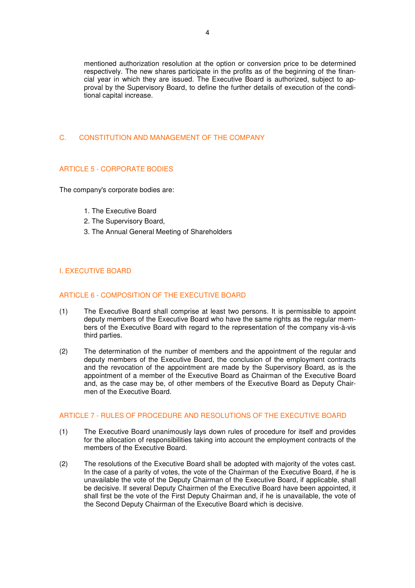mentioned authorization resolution at the option or conversion price to be determined respectively. The new shares participate in the profits as of the beginning of the financial year in which they are issued. The Executive Board is authorized, subject to approval by the Supervisory Board, to define the further details of execution of the conditional capital increase.

## C. CONSTITUTION AND MANAGEMENT OF THE COMPANY

# ARTICLE 5 - CORPORATE BODIES

The company's corporate bodies are:

- 1. The Executive Board
- 2. The Supervisory Board,
- 3. The Annual General Meeting of Shareholders

# I. EXECUTIVE BOARD

## ARTICLE 6 - COMPOSITION OF THE EXECUTIVE BOARD

- (1) The Executive Board shall comprise at least two persons. It is permissible to appoint deputy members of the Executive Board who have the same rights as the regular members of the Executive Board with regard to the representation of the company vis-à-vis third parties.
- (2) The determination of the number of members and the appointment of the regular and deputy members of the Executive Board, the conclusion of the employment contracts and the revocation of the appointment are made by the Supervisory Board, as is the appointment of a member of the Executive Board as Chairman of the Executive Board and, as the case may be, of other members of the Executive Board as Deputy Chairmen of the Executive Board.

# ARTICLE 7 - RULES OF PROCEDURE AND RESOLUTIONS OF THE EXECUTIVE BOARD

- (1) The Executive Board unanimously lays down rules of procedure for itself and provides for the allocation of responsibilities taking into account the employment contracts of the members of the Executive Board.
- (2) The resolutions of the Executive Board shall be adopted with majority of the votes cast. In the case of a parity of votes, the vote of the Chairman of the Executive Board, if he is unavailable the vote of the Deputy Chairman of the Executive Board, if applicable, shall be decisive. If several Deputy Chairmen of the Executive Board have been appointed, it shall first be the vote of the First Deputy Chairman and, if he is unavailable, the vote of the Second Deputy Chairman of the Executive Board which is decisive.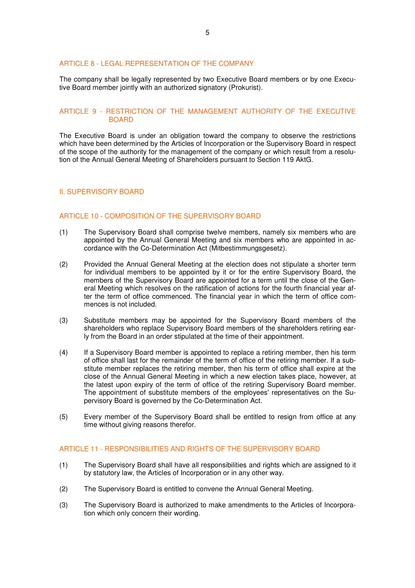## ARTICLE 8 - LEGAL REPRESENTATION OF THE COMPANY

The company shall be legally represented by two Executive Board members or by one Executive Board member jointly with an authorized signatory (Prokurist).

# ARTICLE 9 - RESTRICTION OF THE MANAGEMENT AUTHORITY OF THE EXECUTIVE BOARD

The Executive Board is under an obligation toward the company to observe the restrictions which have been determined by the Articles of Incorporation or the Supervisory Board in respect of the scope of the authority for the management of the company or which result from a resolution of the Annual General Meeting of Shareholders pursuant to Section 119 AktG.

## II. SUPERVISORY BOARD

#### ARTICLE 10 - COMPOSITION OF THE SUPERVISORY BOARD

- (1) The Supervisory Board shall comprise twelve members, namely six members who are appointed by the Annual General Meeting and six members who are appointed in accordance with the Co-Determination Act (Mitbestimmungsgesetz).
- (2) Provided the Annual General Meeting at the election does not stipulate a shorter term for individual members to be appointed by it or for the entire Supervisory Board, the members of the Supervisory Board are appointed for a term until the close of the General Meeting which resolves on the ratification of actions for the fourth financial year after the term of office commenced. The financial year in which the term of office commences is not included.
- (3) Substitute members may be appointed for the Supervisory Board members of the shareholders who replace Supervisory Board members of the shareholders retiring early from the Board in an order stipulated at the time of their appointment.
- (4) If a Supervisory Board member is appointed to replace a retiring member, then his term of office shall last for the remainder of the term of office of the retiring member. If a substitute member replaces the retiring member, then his term of office shall expire at the close of the Annual General Meeting in which a new election takes place, however, at the latest upon expiry of the term of office of the retiring Supervisory Board member. The appointment of substitute members of the employees' representatives on the Supervisory Board is governed by the Co-Determination Act.
- (5) Every member of the Supervisory Board shall be entitled to resign from office at any time without giving reasons therefor.

# ARTICLE 11 - RESPONSIBILITIES AND RIGHTS OF THE SUPERVISORY BOARD

- (1) The Supervisory Board shall have all responsibilities and rights which are assigned to it by statutory law, the Articles of Incorporation or in any other way.
- (2) The Supervisory Board is entitled to convene the Annual General Meeting.
- (3) The Supervisory Board is authorized to make amendments to the Articles of Incorporation which only concern their wording.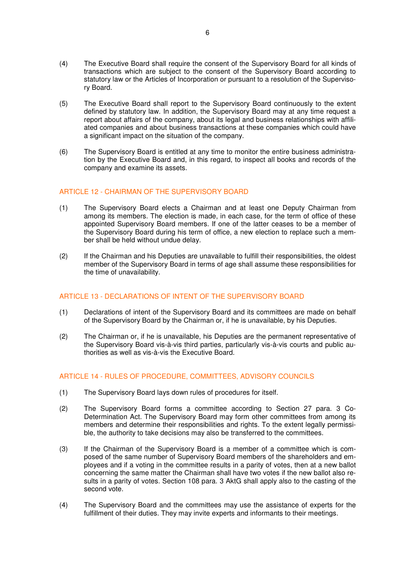- (4) The Executive Board shall require the consent of the Supervisory Board for all kinds of transactions which are subject to the consent of the Supervisory Board according to statutory law or the Articles of Incorporation or pursuant to a resolution of the Supervisory Board.
- (5) The Executive Board shall report to the Supervisory Board continuously to the extent defined by statutory law. In addition, the Supervisory Board may at any time request a report about affairs of the company, about its legal and business relationships with affiliated companies and about business transactions at these companies which could have a significant impact on the situation of the company.
- (6) The Supervisory Board is entitled at any time to monitor the entire business administration by the Executive Board and, in this regard, to inspect all books and records of the company and examine its assets.

# ARTICLE 12 - CHAIRMAN OF THE SUPERVISORY BOARD

- (1) The Supervisory Board elects a Chairman and at least one Deputy Chairman from among its members. The election is made, in each case, for the term of office of these appointed Supervisory Board members. If one of the latter ceases to be a member of the Supervisory Board during his term of office, a new election to replace such a member shall be held without undue delay.
- (2) If the Chairman and his Deputies are unavailable to fulfill their responsibilities, the oldest member of the Supervisory Board in terms of age shall assume these responsibilities for the time of unavailability.

# ARTICLE 13 - DECLARATIONS OF INTENT OF THE SUPERVISORY BOARD

- (1) Declarations of intent of the Supervisory Board and its committees are made on behalf of the Supervisory Board by the Chairman or, if he is unavailable, by his Deputies.
- (2) The Chairman or, if he is unavailable, his Deputies are the permanent representative of the Supervisory Board vis-à-vis third parties, particularly vis-à-vis courts and public authorities as well as vis-à-vis the Executive Board.

## ARTICLE 14 - RULES OF PROCEDURE, COMMITTEES, ADVISORY COUNCILS

- (1) The Supervisory Board lays down rules of procedures for itself.
- (2) The Supervisory Board forms a committee according to Section 27 para. 3 Co-Determination Act. The Supervisory Board may form other committees from among its members and determine their responsibilities and rights. To the extent legally permissible, the authority to take decisions may also be transferred to the committees.
- (3) If the Chairman of the Supervisory Board is a member of a committee which is composed of the same number of Supervisory Board members of the shareholders and employees and if a voting in the committee results in a parity of votes, then at a new ballot concerning the same matter the Chairman shall have two votes if the new ballot also results in a parity of votes. Section 108 para. 3 AktG shall apply also to the casting of the second vote.
- (4) The Supervisory Board and the committees may use the assistance of experts for the fulfillment of their duties. They may invite experts and informants to their meetings.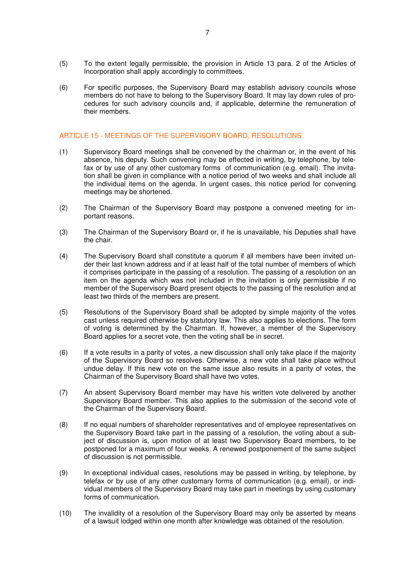- (5) To the extent legally permissible, the provision in Article 13 para. 2 of the Articles of Incorporation shall apply accordingly to committees.
- (6) For specific purposes, the Supervisory Board may establish advisory councils whose members do not have to belong to the Supervisory Board. It may lay down rules of procedures for such advisory councils and, if applicable, determine the remuneration of their members.

# ARTICLE 15 - MEETINGS OF THE SUPERVISORY BOARD, RESOLUTIONS

- (1) Supervisory Board meetings shall be convened by the chairman or, in the event of his absence, his deputy. Such convening may be effected in writing, by telephone, by telefax or by use of any other customary forms of communication (e.g. email). The invitation shall be given in compliance with a notice period of two weeks and shall include all the individual items on the agenda. In urgent cases, this notice period for convening meetings may be shortened.
- (2) The Chairman of the Supervisory Board may postpone a convened meeting for important reasons.
- (3) The Chairman of the Supervisory Board or, if he is unavailable, his Deputies shall have the chair.
- (4) The Supervisory Board shall constitute a quorum if all members have been invited under their last known address and if at least half of the total number of members of which it comprises participate in the passing of a resolution. The passing of a resolution on an item on the agenda which was not included in the invitation is only permissible if no member of the Supervisory Board present objects to the passing of the resolution and at least two thirds of the members are present.
- (5) Resolutions of the Supervisory Board shall be adopted by simple majority of the votes cast unless required otherwise by statutory law. This also applies to elections. The form of voting is determined by the Chairman. If, however, a member of the Supervisory Board applies for a secret vote, then the voting shall be in secret.
- (6) If a vote results in a parity of votes, a new discussion shall only take place if the majority of the Supervisory Board so resolves. Otherwise, a new vote shall take place without undue delay. If this new vote on the same issue also results in a parity of votes, the Chairman of the Supervisory Board shall have two votes.
- (7) An absent Supervisory Board member may have his written vote delivered by another Supervisory Board member. This also applies to the submission of the second vote of the Chairman of the Supervisory Board.
- (8) If no equal numbers of shareholder representatives and of employee representatives on the Supervisory Board take part in the passing of a resolution, the voting about a subject of discussion is, upon motion of at least two Supervisory Board members, to be postponed for a maximum of four weeks. A renewed postponement of the same subject of discussion is not permissible.
- (9) In exceptional individual cases, resolutions may be passed in writing, by telephone, by telefax or by use of any other customary forms of communication (e.g. email), or individual members of the Supervisory Board may take part in meetings by using customary forms of communication.
- (10) The invalidity of a resolution of the Supervisory Board may only be asserted by means of a lawsuit lodged within one month after knowledge was obtained of the resolution.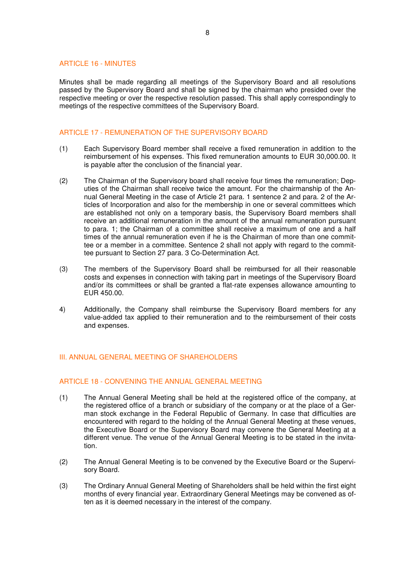#### ARTICLE 16 - MINUTES

Minutes shall be made regarding all meetings of the Supervisory Board and all resolutions passed by the Supervisory Board and shall be signed by the chairman who presided over the respective meeting or over the respective resolution passed. This shall apply correspondingly to meetings of the respective committees of the Supervisory Board.

# ARTICLE 17 - REMUNERATION OF THE SUPERVISORY BOARD

- (1) Each Supervisory Board member shall receive a fixed remuneration in addition to the reimbursement of his expenses. This fixed remuneration amounts to EUR 30,000.00. It is payable after the conclusion of the financial year.
- (2) The Chairman of the Supervisory board shall receive four times the remuneration; Deputies of the Chairman shall receive twice the amount. For the chairmanship of the Annual General Meeting in the case of Article 21 para. 1 sentence 2 and para. 2 of the Articles of Incorporation and also for the membership in one or several committees which are established not only on a temporary basis, the Supervisory Board members shall receive an additional remuneration in the amount of the annual remuneration pursuant to para. 1; the Chairman of a committee shall receive a maximum of one and a half times of the annual remuneration even if he is the Chairman of more than one committee or a member in a committee. Sentence 2 shall not apply with regard to the committee pursuant to Section 27 para. 3 Co-Determination Act.
- (3) The members of the Supervisory Board shall be reimbursed for all their reasonable costs and expenses in connection with taking part in meetings of the Supervisory Board and/or its committees or shall be granted a flat-rate expenses allowance amounting to EUR 450.00.
- 4) Additionally, the Company shall reimburse the Supervisory Board members for any value-added tax applied to their remuneration and to the reimbursement of their costs and expenses.

# III. ANNUAL GENERAL MEETING OF SHAREHOLDERS

## ARTICLE 18 - CONVENING THE ANNUAL GENERAL MEETING

- (1) The Annual General Meeting shall be held at the registered office of the company, at the registered office of a branch or subsidiary of the company or at the place of a German stock exchange in the Federal Republic of Germany. In case that difficulties are encountered with regard to the holding of the Annual General Meeting at these venues, the Executive Board or the Supervisory Board may convene the General Meeting at a different venue. The venue of the Annual General Meeting is to be stated in the invitation.
- (2) The Annual General Meeting is to be convened by the Executive Board or the Supervisory Board.
- (3) The Ordinary Annual General Meeting of Shareholders shall be held within the first eight months of every financial year. Extraordinary General Meetings may be convened as often as it is deemed necessary in the interest of the company.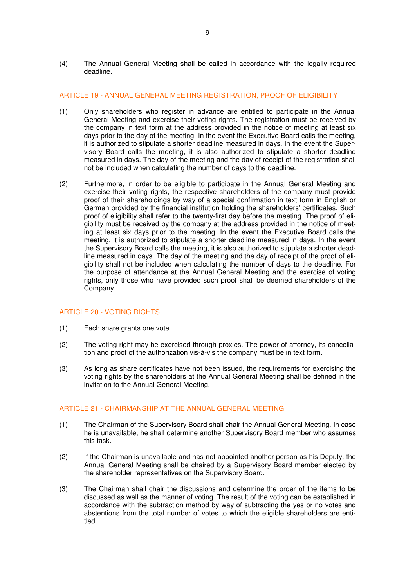(4) The Annual General Meeting shall be called in accordance with the legally required deadline.

# ARTICLE 19 - ANNUAL GENERAL MEETING REGISTRATION, PROOF OF ELIGIBILITY

- (1) Only shareholders who register in advance are entitled to participate in the Annual General Meeting and exercise their voting rights. The registration must be received by the company in text form at the address provided in the notice of meeting at least six days prior to the day of the meeting. In the event the Executive Board calls the meeting, it is authorized to stipulate a shorter deadline measured in days. In the event the Supervisory Board calls the meeting, it is also authorized to stipulate a shorter deadline measured in days. The day of the meeting and the day of receipt of the registration shall not be included when calculating the number of days to the deadline.
- (2) Furthermore, in order to be eligible to participate in the Annual General Meeting and exercise their voting rights, the respective shareholders of the company must provide proof of their shareholdings by way of a special confirmation in text form in English or German provided by the financial institution holding the shareholders' certificates. Such proof of eligibility shall refer to the twenty-first day before the meeting. The proof of eligibility must be received by the company at the address provided in the notice of meeting at least six days prior to the meeting. In the event the Executive Board calls the meeting, it is authorized to stipulate a shorter deadline measured in days. In the event the Supervisory Board calls the meeting, it is also authorized to stipulate a shorter deadline measured in days. The day of the meeting and the day of receipt of the proof of eligibility shall not be included when calculating the number of days to the deadline. For the purpose of attendance at the Annual General Meeting and the exercise of voting rights, only those who have provided such proof shall be deemed shareholders of the Company.

## ARTICLE 20 - VOTING RIGHTS

- (1) Each share grants one vote.
- (2) The voting right may be exercised through proxies. The power of attorney, its cancellation and proof of the authorization vis-à-vis the company must be in text form.
- (3) As long as share certificates have not been issued, the requirements for exercising the voting rights by the shareholders at the Annual General Meeting shall be defined in the invitation to the Annual General Meeting.

# ARTICLE 21 - CHAIRMANSHIP AT THE ANNUAL GENERAL MEETING

- (1) The Chairman of the Supervisory Board shall chair the Annual General Meeting. In case he is unavailable, he shall determine another Supervisory Board member who assumes this task.
- (2) If the Chairman is unavailable and has not appointed another person as his Deputy, the Annual General Meeting shall be chaired by a Supervisory Board member elected by the shareholder representatives on the Supervisory Board.
- (3) The Chairman shall chair the discussions and determine the order of the items to be discussed as well as the manner of voting. The result of the voting can be established in accordance with the subtraction method by way of subtracting the yes or no votes and abstentions from the total number of votes to which the eligible shareholders are entitled.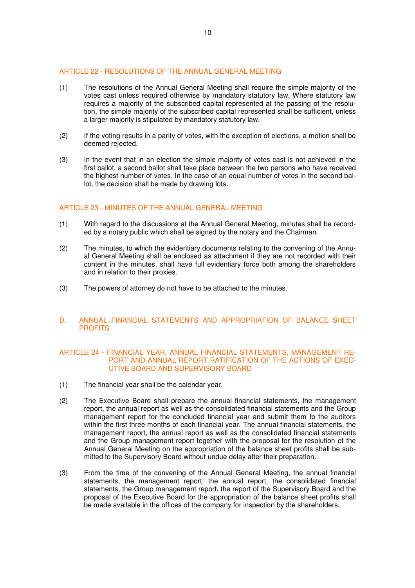# ARTICLE 22 - RESOLUTIONS OF THE ANNUAL GENERAL MEETING

- (1) The resolutions of the Annual General Meeting shall require the simple majority of the votes cast unless required otherwise by mandatory statutory law. Where statutory law requires a majority of the subscribed capital represented at the passing of the resolution, the simple majority of the subscribed capital represented shall be sufficient, unless a larger majority is stipulated by mandatory statutory law.
- (2) If the voting results in a parity of votes, with the exception of elections, a motion shall be deemed rejected.
- (3) In the event that in an election the simple majority of votes cast is not achieved in the first ballot, a second ballot shall take place between the two persons who have received the highest number of votes. In the case of an equal number of votes in the second ballot, the decision shall be made by drawing lots.

## ARTICLE 23 - MINUTES OF THE ANNUAL GENERAL MEETING

- (1) With regard to the discussions at the Annual General Meeting, minutes shall be recorded by a notary public which shall be signed by the notary and the Chairman.
- (2) The minutes, to which the evidentiary documents relating to the convening of the Annual General Meeting shall be enclosed as attachment if they are not recorded with their content in the minutes, shall have full evidentiary force both among the shareholders and in relation to their proxies.
- (3) The powers of attorney do not have to be attached to the minutes.

# D. ANNUAL FINANCIAL STATEMENTS AND APPROPRIATION OF BALANCE SHEET **PROFITS**

#### ARTICLE 24 - FINANCIAL YEAR, ANNUAL FINANCIAL STATEMENTS, MANAGEMENT RE-PORT AND ANNUAL REPORT RATIFICATION OF THE ACTIONS OF EXEC-UTIVE BOARD AND SUPERVISORY BOARD

- (1) The financial year shall be the calendar year.
- (2) The Executive Board shall prepare the annual financial statements, the management report, the annual report as well as the consolidated financial statements and the Group management report for the concluded financial year and submit them to the auditors within the first three months of each financial year. The annual financial statements, the management report, the annual report as well as the consolidated financial statements and the Group management report together with the proposal for the resolution of the Annual General Meeting on the appropriation of the balance sheet profits shall be submitted to the Supervisory Board without undue delay after their preparation.
- (3) From the time of the convening of the Annual General Meeting, the annual financial statements, the management report, the annual report, the consolidated financial statements, the Group management report, the report of the Supervisory Board and the proposal of the Executive Board for the appropriation of the balance sheet profits shall be made available in the offices of the company for inspection by the shareholders.